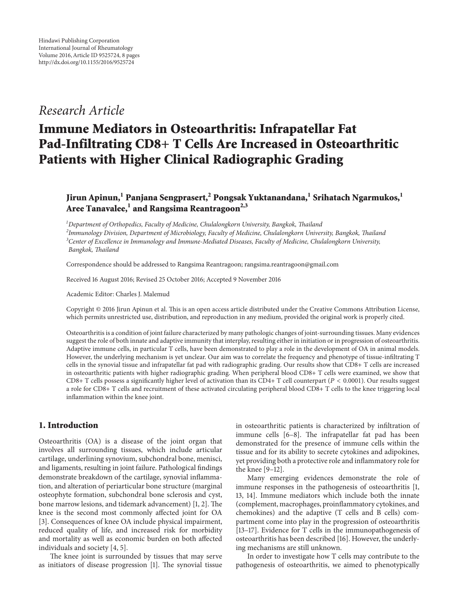## *Research Article*

# **Immune Mediators in Osteoarthritis: Infrapatellar Fat Pad-Infiltrating CD8+ T Cells Are Increased in Osteoarthritic Patients with Higher Clinical Radiographic Grading**

### **Jirun Apinun,1 Panjana Sengprasert,2 Pongsak Yuktanandana,1 Srihatach Ngarmukos,<sup>1</sup> Aree Tanavalee,<sup>1</sup> and Rangsima Reantragoon2,3**

 *Department of Orthopedics, Faculty of Medicine, Chulalongkorn University, Bangkok, Thailand Immunology Division, Department of Microbiology, Faculty of Medicine, Chulalongkorn University, Bangkok, Thailand Center of Excellence in Immunology and Immune-Mediated Diseases, Faculty of Medicine, Chulalongkorn University, Bangkok, Thailand*

Correspondence should be addressed to Rangsima Reantragoon; rangsima.reantragoon@gmail.com

Received 16 August 2016; Revised 25 October 2016; Accepted 9 November 2016

Academic Editor: Charles J. Malemud

Copyright © 2016 Jirun Apinun et al. This is an open access article distributed under the Creative Commons Attribution License, which permits unrestricted use, distribution, and reproduction in any medium, provided the original work is properly cited.

Osteoarthritis is a condition of joint failure characterized by many pathologic changes of joint-surrounding tissues. Many evidences suggest the role of both innate and adaptive immunity that interplay, resulting either in initiation or in progression of osteoarthritis. Adaptive immune cells, in particular T cells, have been demonstrated to play a role in the development of OA in animal models. However, the underlying mechanism is yet unclear. Our aim was to correlate the frequency and phenotype of tissue-infiltrating T cells in the synovial tissue and infrapatellar fat pad with radiographic grading. Our results show that CD8+ T cells are increased in osteoarthritic patients with higher radiographic grading. When peripheral blood CD8+ T cells were examined, we show that CD8+ T cells possess a significantly higher level of activation than its CD4+ T cell counterpart ( $P < 0.0001$ ). Our results suggest a role for CD8+ T cells and recruitment of these activated circulating peripheral blood CD8+ T cells to the knee triggering local inflammation within the knee joint.

#### **1. Introduction**

Osteoarthritis (OA) is a disease of the joint organ that involves all surrounding tissues, which include articular cartilage, underlining synovium, subchondral bone, menisci, and ligaments, resulting in joint failure. Pathological findings demonstrate breakdown of the cartilage, synovial inflammation, and alteration of periarticular bone structure (marginal osteophyte formation, subchondral bone sclerosis and cyst, bone marrow lesions, and tidemark advancement) [\[1,](#page-6-0) [2\]](#page-6-1). The knee is the second most commonly affected joint for OA [\[3\]](#page-6-2). Consequences of knee OA include physical impairment, reduced quality of life, and increased risk for morbidity and mortality as well as economic burden on both affected individuals and society [\[4,](#page-6-3) [5\]](#page-6-4).

The knee joint is surrounded by tissues that may serve as initiators of disease progression [\[1](#page-6-0)]. The synovial tissue

in osteoarthritic patients is characterized by infiltration of immune cells [\[6](#page-6-5)[–8\]](#page-6-6). The infrapatellar fat pad has been demonstrated for the presence of immune cells within the tissue and for its ability to secrete cytokines and adipokines, yet providing both a protective role and inflammatory role for the knee [\[9](#page-6-7)[–12](#page-6-8)].

Many emerging evidences demonstrate the role of immune responses in the pathogenesis of osteoarthritis [\[1](#page-6-0), [13](#page-6-9), [14\]](#page-6-10). Immune mediators which include both the innate (complement, macrophages, proinflammatory cytokines, and chemokines) and the adaptive (T cells and B cells) compartment come into play in the progression of osteoarthritis [\[13](#page-6-9)[–17\]](#page-6-11). Evidence for T cells in the immunopathogenesis of osteoarthritis has been described [\[16](#page-6-12)]. However, the underlying mechanisms are still unknown.

In order to investigate how T cells may contribute to the pathogenesis of osteoarthritis, we aimed to phenotypically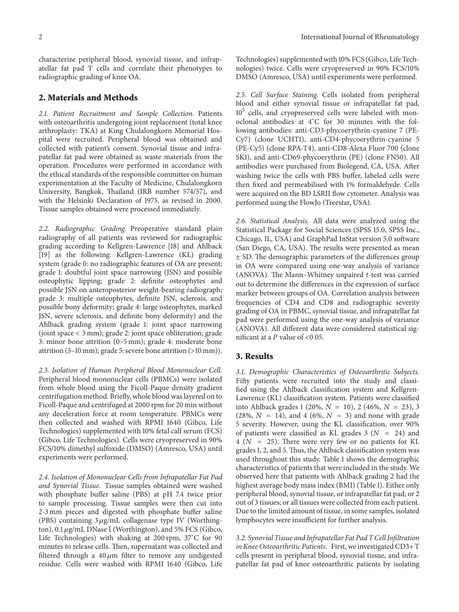characterize peripheral blood, synovial tissue, and infrapatellar fat pad T cells and correlate their phenotypes to radiographic grading of knee OA.

#### **2. Materials and Methods**

*2.1. Patient Recruitment and Sample Collection.* Patients with osteoarthritis undergoing joint replacement (total knee arthroplasty: TKA) at King Chulalongkorn Memorial Hospital were recruited. Peripheral blood was obtained and collected with patient's consent. Synovial tissue and infrapatellar fat pad were obtained as waste materials from the operation. Procedures were performed in accordance with the ethical standards of the responsible committee on human experimentation at the Faculty of Medicine, Chulalongkorn University, Bangkok, Thailand (IRB number 574/57), and with the Helsinki Declaration of 1975, as revised in 2000. Tissue samples obtained were processed immediately.

*2.2. Radiographic Grading.* Preoperative standard plain radiography of all patients was reviewed for radiographic grading according to Kellgren-Lawrence [\[18](#page-6-13)] and Ahlback [\[19](#page-6-14)] as the following: Kellgren-Lawrence (KL) grading system (grade 0: no radiographic features of OA are present; grade 1: doubtful joint space narrowing (JSN) and possible osteophytic lipping; grade 2: definite osteophytes and possible JSN on anteroposterior weight-bearing radiograph; grade 3: multiple osteophytes, definite JSN, sclerosis, and possible bony deformity; grade 4: large osteophytes, marked JSN, severe sclerosis, and definite bony deformity) and the Ahlback grading system (grade 1: joint space narrowing (joint space < 3 mm); grade 2: joint space obliteration; grade 3: minor bone attrition (0–5 mm); grade 4: moderate bone attrition (5–10 mm); grade 5: severe bone attrition (>10 mm)).

*2.3. Isolation of Human Peripheral Blood Mononuclear Cell.* Peripheral blood mononuclear cells (PBMCs) were isolated from whole blood using the Ficoll-Paque density gradient centrifugation method. Briefly, whole blood was layered on to Ficoll-Paque and centrifuged at 2000 rpm for 20 min without any deceleration force at room temperature. PBMCs were then collected and washed with RPMI 1640 (Gibco, Life Technologies) supplemented with 10% fetal calf serum (FCS) (Gibco, Life Technologies). Cells were cryopreserved in 90% FCS/10% dimethyl sulfoxide (DMSO) (Amresco, USA) until experiments were performed.

*2.4. Isolation of Mononuclear Cells from Infrapatellar Fat Pad and Synovial Tissue.* Tissue samples obtained were washed with phosphate buffer saline (PBS) at pH 7.4 twice prior to sample processing. Tissue samples were then cut into 2-3 mm pieces and digested with phosphate buffer saline (PBS) containing  $3 \mu g/mL$  collagenase type IV (Worthington), 0.1  $\mu$ g/mL DNase I (Worthington), and 5% FCS (Gibco, Life Technologies) with shaking at 200 rpm, 37<sup>∘</sup> C for 90 minutes to release cells. Then, supernatant was collected and filtered through a 40  $\mu$ m filter to remove any undigested residue. Cells were washed with RPMI 1640 (Gibco, Life

Technologies) supplemented with 10% FCS (Gibco, Life Technologies) twice. Cells were cryopreserved in 90% FCS/10% DMSO (Amresco, USA) until experiments were performed.

*2.5. Cell Surface Staining.* Cells isolated from peripheral blood and either synovial tissue or infrapatellar fat pad, 10<sup>5</sup> cells, and cryopreserved cells were labeled with monoclonal antibodies at 4<sup>∘</sup> C for 30 minutes with the following antibodies: anti-CD3-phycoerythrin-cyanine 7 (PE-Cy7) (clone UCHT1), anti-CD4-phycoerythrin-cyanine 5 (PE-Cy5) (clone RPA-T4), anti-CD8-Alexa Fluor 700 (clone SK1), and anti-CD69-phycoerythrin (PE) (clone FN50). All antibodies were purchased from Biolegend, CA, USA. After washing twice the cells with PBS buffer, labeled cells were then fixed and permeabilised with 1% formaldehyde. Cells were acquired on the BD LSRII flow cytometer. Analysis was performed using the FlowJo (Treestar, USA).

*2.6. Statistical Analysis.* All data were analyzed using the Statistical Package for Social Sciences (SPSS 15.0, SPSS Inc., Chicago, IL, USA) and GraphPad InStat version 5.0 software (San Diego, CA, USA). The results were presented as mean ± SD. The demographic parameters of the differences group in OA were compared using one-way analysis of variance (ANOVA). The Mann–Whitney unpaired *t*-test was carried out to determine the differences in the expression of surface marker between groups of OA. Correlation analysis between frequencies of CD4 and CD8 and radiographic severity grading of OA in PBMC, synovial tissue, and infrapatellar fat pad were performed using the one-way analysis of variance (ANOVA). All different data were considered statistical significant at a  $P$  value of <0.05.

#### **3. Results**

*3.1. Demographic Characteristics of Osteoarthritic Subjects.* Fifty patients were recruited into the study and classified using the Ahlback classification system and Kellgren-Lawrence (KL) classification system. Patients were classified into Ahlback grades 1 (20%,  $N = 10$ ), 2 (46%,  $N = 23$ ), 3  $(28\%, N = 14)$ , and 4  $(6\%, N = 3)$  and none with grade 5 severity. However, using the KL classification, over 90% of patients were classified as KL grades 3 ( $N = 24$ ) and  $4(N = 25)$ . There were very few or no patients for KL grades 1, 2, and 5. Thus, the Ahlback classification system was used throughout this study. Table [1](#page-2-0) shows the demographic characteristics of patients that were included in the study. We observed here that patients with Ahlback grading 2 had the highest average body mass index (BMI) (Table [1\)](#page-2-0). Either only peripheral blood, synovial tissue, or infrapatellar fat pad; or 2 out of 3 tissues; or all tissues were collected from each patient. Due to the limited amount of tissue, in some samples, isolated lymphocytes were insufficient for further analysis.

*3.2. Synovial Tissue and Infrapatellar Fat Pad T Cell Infiltration in Knee Osteoarthritic Patients.* First, we investigated CD3+ T cells present in peripheral blood, synovial tissue, and infrapatellar fat pad of knee osteoarthritic patients by isolating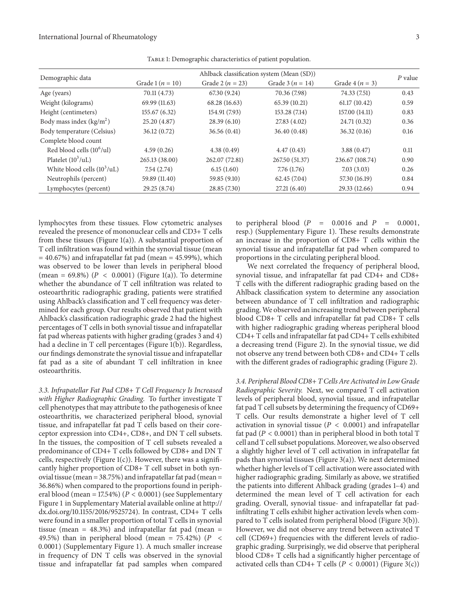| Demographic data                     | Ahlback classification system (Mean (SD)) |                      |                      |                 | $P$ value |
|--------------------------------------|-------------------------------------------|----------------------|----------------------|-----------------|-----------|
|                                      | Grade 1 ( $n = 10$ )                      | Grade 2 ( $n = 23$ ) | Grade 3 ( $n = 14$ ) | Grade $4(n=3)$  |           |
| Age (years)                          | 70.11 (4.73)                              | 67.30 (9.24)         | 70.36 (7.98)         | 74.33 (7.51)    | 0.43      |
| Weight (kilograms)                   | 69.99 (11.63)                             | 68.28 (16.63)        | 65.39 (10.21)        | 61.17(10.42)    | 0.59      |
| Height (centimeters)                 | 155.67 (6.32)                             | 154.91 (7.93)        | 153.28 (7.14)        | 157.00 (14.11)  | 0.83      |
| Body mass index $(kg/m2)$            | 25.20 (4.87)                              | 28.39(6.10)          | 27.83 (4.02)         | 24.71 (0.32)    | 0.36      |
| Body temperature (Celsius)           | 36.12(0.72)                               | 36.56(0.41)          | 36.40(0.48)          | 36.32(0.16)     | 0.16      |
| Complete blood count                 |                                           |                      |                      |                 |           |
| Red blood cells $(10^6/\text{ul})$   | 4.59(0.26)                                | 4.38(0.49)           | 4.47(0.43)           | 3.88(0.47)      | 0.11      |
| Platelet $(10^3/\text{uL})$          | 265.13 (38.00)                            | 262.07 (72.81)       | 267.50 (51.37)       | 236.67 (108.74) | 0.90      |
| White blood cells $(10^3/\text{uL})$ | 7.54(2.74)                                | 6.15(1.60)           | 7.76(1.76)           | 7.03(3.03)      | 0.26      |
| Neutrophils (percent)                | 59.89 (11.40)                             | 59.85 (9.10)         | 62.45(7.04)          | 57.30 (16.19)   | 0.84      |
| Lymphocytes (percent)                | 29.25 (8.74)                              | 28.85 (7.30)         | 27.21(6.40)          | 29.33 (12.66)   | 0.94      |
|                                      |                                           |                      |                      |                 |           |

<span id="page-2-0"></span>Table 1: Demographic characteristics of patient population.

lymphocytes from these tissues. Flow cytometric analyses revealed the presence of mononuclear cells and CD3+ T cells from these tissues (Figure [1\(a\)\)](#page-3-0). A substantial proportion of T cell infiltration was found within the synovial tissue (mean  $= 40.67%$ ) and infrapatellar fat pad (mean  $= 45.99%$ ), which was observed to be lower than levels in peripheral blood (mean = 69.8%) ( $P < 0.0001$ ) (Figure [1\(a\)\)](#page-3-0). To determine whether the abundance of T cell infiltration was related to osteoarthritic radiographic grading, patients were stratified using Ahlback's classification and T cell frequency was determined for each group. Our results observed that patient with Ahlback's classification radiographic grade 2 had the highest percentages of T cells in both synovial tissue and infrapatellar fat pad whereas patients with higher grading (grades 3 and 4) had a decline in T cell percentages (Figure [1\(b\)\)](#page-3-1). Regardless, our findings demonstrate the synovial tissue and infrapatellar fat pad as a site of abundant T cell infiltration in knee osteoarthritis.

*3.3. Infrapatellar Fat Pad CD8+ T Cell Frequency Is Increased with Higher Radiographic Grading.* To further investigate T cell phenotypes that may attribute to the pathogenesis of knee osteoarthritis, we characterized peripheral blood, synovial tissue, and infrapatellar fat pad T cells based on their coreceptor expression into CD4+, CD8+, and DN T cell subsets. In the tissues, the composition of T cell subsets revealed a predominance of CD4+ T cells followed by CD8+ and DN T cells, respectively (Figure  $1(c)$ ). However, there was a significantly higher proportion of CD8+ T cell subset in both synovial tissue (mean = 38.75%) and infrapatellar fat pad (mean = 36.86%) when compared to the proportions found in peripheral blood (mean = 17.54%) ( $P < 0.0001$ ) (see Supplementary Figure 1 in Supplementary Material available online at [http://](http://dx.doi.org/10.1155/2016/9525724) [dx.doi.org/10.1155/2016/9525724\)](http://dx.doi.org/10.1155/2016/9525724). In contrast, CD4+ T cells were found in a smaller proportion of total T cells in synovial tissue (mean =  $48.3\%$ ) and infrapatellar fat pad (mean = 49.5%) than in peripheral blood (mean = 75.42%) ( $P \leq$ 0.0001) (Supplementary Figure 1). A much smaller increase in frequency of DN T cells was observed in the synovial tissue and infrapatellar fat pad samples when compared

to peripheral blood  $(P = 0.0016$  and  $P = 0.0001$ , resp.) (Supplementary Figure 1). These results demonstrate an increase in the proportion of CD8+ T cells within the synovial tissue and infrapatellar fat pad when compared to proportions in the circulating peripheral blood.

We next correlated the frequency of peripheral blood, synovial tissue, and infrapatellar fat pad CD4+ and CD8+ T cells with the different radiographic grading based on the Ahlback classification system to determine any association between abundance of T cell infiltration and radiographic grading. We observed an increasing trend between peripheral blood CD8+ T cells and infrapatellar fat pad CD8+ T cells with higher radiographic grading whereas peripheral blood CD4+ T cells and infrapatellar fat pad CD4+ T cells exhibited a decreasing trend (Figure [2\)](#page-4-0). In the synovial tissue, we did not observe any trend between both CD8+ and CD4+ T cells with the different grades of radiographic grading (Figure [2\)](#page-4-0).

*3.4. Peripheral Blood CD8+ T Cells Are Activated in Low Grade Radiographic Severity.* Next, we compared T cell activation levels of peripheral blood, synovial tissue, and infrapatellar fat pad T cell subsets by determining the frequency of CD69+ T cells. Our results demonstrate a higher level of T cell activation in synovial tissue ( $P < 0.0001$ ) and infrapatellar fat pad ( $P < 0.0001$ ) than in peripheral blood in both total T cell and T cell subset populations. Moreover, we also observed a slightly higher level of T cell activation in infrapatellar fat pads than synovial tissues (Figure [3\(a\)\)](#page-5-0). We next determined whether higher levels of T cell activation were associated with higher radiographic grading. Similarly as above, we stratified the patients into different Ahlback grading (grades 1–4) and determined the mean level of T cell activation for each grading. Overall, synovial tissue- and infrapatellar fat padinfiltrating T cells exhibit higher activation levels when compared to T cells isolated from peripheral blood (Figure [3\(b\)\)](#page-5-1). However, we did not observe any trend between activated T cell (CD69+) frequencies with the different levels of radiographic grading. Surprisingly, we did observe that peripheral blood CD8+ T cells had a significantly higher percentage of activated cells than CD4+ T cells ( $P < 0.0001$ ) (Figure [3\(c\)\)](#page-5-2)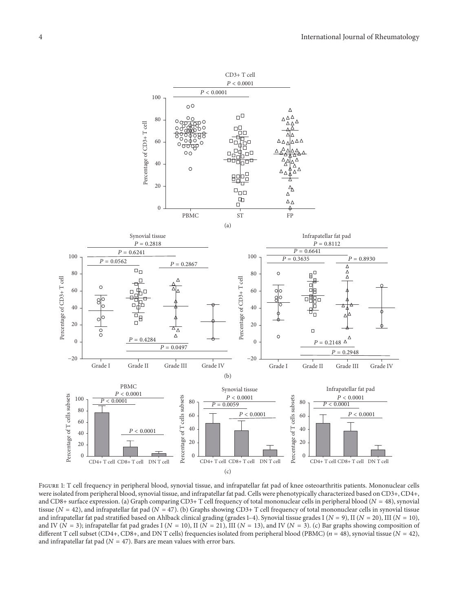<span id="page-3-0"></span>

<span id="page-3-2"></span><span id="page-3-1"></span>Figure 1: T cell frequency in peripheral blood, synovial tissue, and infrapatellar fat pad of knee osteoarthritis patients. Mononuclear cells were isolated from peripheral blood, synovial tissue, and infrapatellar fat pad. Cells were phenotypically characterized based on CD3+, CD4+, and CD8+ surface expression. (a) Graph comparing CD3+ T cell frequency of total mononuclear cells in peripheral blood ( $N = 48$ ), synovial tissue ( $N = 42$ ), and infrapatellar fat pad ( $N = 47$ ). (b) Graphs showing CD3+ T cell frequency of total mononuclear cells in synovial tissue and infrapatellar fat pad stratified based on Ahlback clinical grading (grades 1–4). Synovial tissue grades I ( $N = 9$ ), II ( $N = 20$ ), III ( $N = 10$ ), and IV ( $N = 3$ ); infrapatellar fat pad grades I ( $N = 10$ ), II ( $N = 21$ ), III ( $N = 13$ ), and IV ( $N = 3$ ). (c) Bar graphs showing composition of different T cell subset (CD4+, CD8+, and DN T cells) frequencies isolated from peripheral blood (PBMC) ( $n = 48$ ), synovial tissue ( $N = 42$ ), and infrapatellar fat pad ( $N = 47$ ). Bars are mean values with error bars.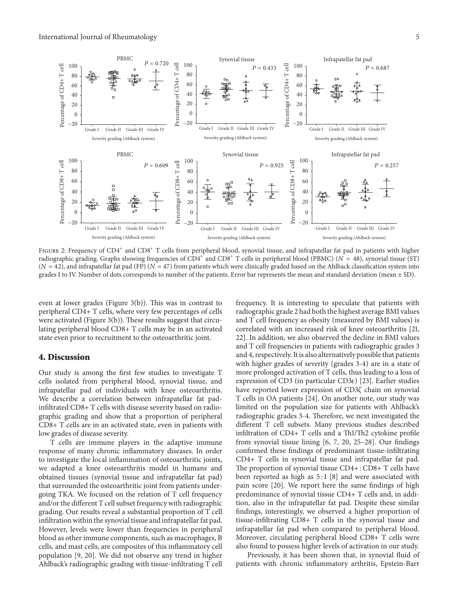

<span id="page-4-0"></span>FIGURE 2: Frequency of CD4<sup>+</sup> and CD8<sup>+</sup> T cells from peripheral blood, synovial tissue, and infrapatellar fat pad in patients with higher radiographic grading. Graphs showing frequencies of  $CD4^+$  and  $CD8^+$  T cells in peripheral blood (PBMC) ( $N = 48$ ), synovial tissue (ST)  $(N = 42)$ , and infrapatellar fat pad (FP) ( $N = 47$ ) from patients which were clinically graded based on the Ahlback classification system into grades I to IV. Number of dots corresponds to number of the patients. Error bar represents the mean and standard deviation (mean ± SD).

even at lower grades (Figure [3\(b\)\)](#page-5-1). This was in contrast to peripheral CD4+ T cells, where very few percentages of cells were activated (Figure [3\(b\)\)](#page-5-1). These results suggest that circulating peripheral blood CD8+ T cells may be in an activated state even prior to recruitment to the osteoarthritic joint.

#### **4. Discussion**

Our study is among the first few studies to investigate T cells isolated from peripheral blood, synovial tissue, and infrapatellar pad of individuals with knee osteoarthritis. We describe a correlation between infrapatellar fat padinfiltrated CD8+ T cells with disease severity based on radiographic grading and show that a proportion of peripheral CD8+ T cells are in an activated state, even in patients with low grades of disease severity.

T cells are immune players in the adaptive immune response of many chronic inflammatory diseases. In order to investigate the local inflammation of osteoarthritic joints, we adapted a knee osteoarthritis model in humans and obtained tissues (synovial tissue and infrapatellar fat pad) that surrounded the osteoarthritic joint from patients undergoing TKA. We focused on the relation of T cell frequency and/or the different T cell subset frequency with radiographic grading. Our results reveal a substantial proportion of T cell infiltration within the synovial tissue and infrapatellar fat pad. However, levels were lower than frequencies in peripheral blood as other immune components, such as macrophages, B cells, and mast cells, are composites of this inflammatory cell population [\[9,](#page-6-7) [20](#page-6-15)]. We did not observe any trend in higher Ahlback's radiographic grading with tissue-infiltrating T cell

frequency. It is interesting to speculate that patients with radiographic grade 2 had both the highest average BMI values and T cell frequency as obesity (measured by BMI values) is correlated with an increased risk of knee osteoarthritis [\[21](#page-6-16), [22\]](#page-6-17). In addition, we also observed the decline in BMI values and T cell frequencies in patients with radiographic grades 3 and 4, respectively. It is also alternatively possible that patients with higher grades of severity (grades 3-4) are in a state of more prolonged activation of T cells, thus leading to a loss of expression of CD3 (in particular CD3 $\varepsilon$ ) [\[23](#page-6-18)]. Earlier studies have reported lower expression of CD3 $\zeta$  chain on synovial T cells in OA patients [\[24](#page-6-19)]. On another note, our study was limited on the population size for patients with Ahlback's radiographic grades 3-4. Therefore, we next investigated the different T cell subsets. Many previous studies described infiltration of CD4+ T cells and a Th1/Th2 cytokine profile from synovial tissue lining [\[6](#page-6-5), [7](#page-6-20), [20,](#page-6-15) [25](#page-7-0)[–28\]](#page-7-1). Our findings confirmed these findings of predominant tissue-infiltrating CD4+ T cells in synovial tissue and infrapatellar fat pad. The proportion of synovial tissue CD4+ : CD8+ T cells have been reported as high as  $5:1$  [\[8\]](#page-6-6) and were associated with pain score [\[20](#page-6-15)]. We report here the same findings of high predominance of synovial tissue CD4+ T cells and, in addition, also in the infrapatellar fat pad. Despite these similar findings, interestingly, we observed a higher proportion of tissue-infiltrating CD8+ T cells in the synovial tissue and infrapatellar fat pad when compared to peripheral blood. Moreover, circulating peripheral blood CD8+ T cells were also found to possess higher levels of activation in our study.

Previously, it has been shown that, in synovial fluid of patients with chronic inflammatory arthritis, Epstein-Barr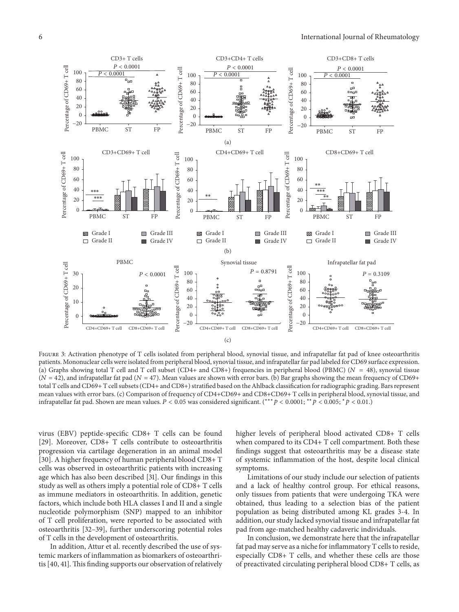<span id="page-5-0"></span>

<span id="page-5-2"></span><span id="page-5-1"></span>FIGURE 3: Activation phenotype of T cells isolated from peripheral blood, synovial tissue, and infrapatellar fat pad of knee osteoarthritis patients. Mononuclear cells were isolated from peripheral blood, synovial tissue, and infrapatellar far pad labeled for CD69 surface expression. (a) Graphs showing total T cell and T cell subset (CD4+ and CD8+) frequencies in peripheral blood (PBMC) ( $N = 48$ ), synovial tissue  $(N = 42)$ , and infrapatellar fat pad  $(N = 47)$ . Mean values are shown with error bars. (b) Bar graphs showing the mean frequency of CD69+ total T cells and CD69+ T cell subsets (CD4+ and CD8+) stratified based on the Ahlback classification for radiographic grading. Bars represent mean values with error bars. (c) Comparison of frequency of CD4+CD69+ and CD8+CD69+ T cells in peripheral blood, synovial tissue, and infrapatellar fat pad. Shown are mean values.  $P < 0.05$  was considered significant. (\*\*\* $p < 0.0001$ ; \*\* $p < 0.005$ ; \* $p < 0.01$ .)

virus (EBV) peptide-specific CD8+ T cells can be found [\[29\]](#page-7-2). Moreover, CD8+ T cells contribute to osteoarthritis progression via cartilage degeneration in an animal model [\[30\]](#page-7-3). A higher frequency of human peripheral blood CD8+ T cells was observed in osteoarthritic patients with increasing age which has also been described [\[31](#page-7-4)]. Our findings in this study as well as others imply a potential role of CD8+ T cells as immune mediators in osteoarthritis. In addition, genetic factors, which include both HLA classes I and II and a single nucleotide polymorphism (SNP) mapped to an inhibitor of T cell proliferation, were reported to be associated with osteoarthritis [\[32](#page-7-5)[–39](#page-7-6)], further underscoring potential roles of T cells in the development of osteoarthritis.

In addition, Attur et al. recently described the use of systemic markers of inflammation as biomarkers of osteoarthri-tis [\[40](#page-7-7), [41](#page-7-8)]. This finding supports our observation of relatively higher levels of peripheral blood activated CD8+ T cells when compared to its CD4+ T cell compartment. Both these findings suggest that osteoarthritis may be a disease state of systemic inflammation of the host, despite local clinical symptoms.

Limitations of our study include our selection of patients and a lack of healthy control group. For ethical reasons, only tissues from patients that were undergoing TKA were obtained, thus leading to a selection bias of the patient population as being distributed among KL grades 3-4. In addition, our study lacked synovial tissue and infrapatellar fat pad from age-matched healthy cadaveric individuals.

In conclusion, we demonstrate here that the infrapatellar fat pad may serve as a niche for inflammatory T cells to reside, especially CD8+ T cells, and whether these cells are those of preactivated circulating peripheral blood CD8+ T cells, as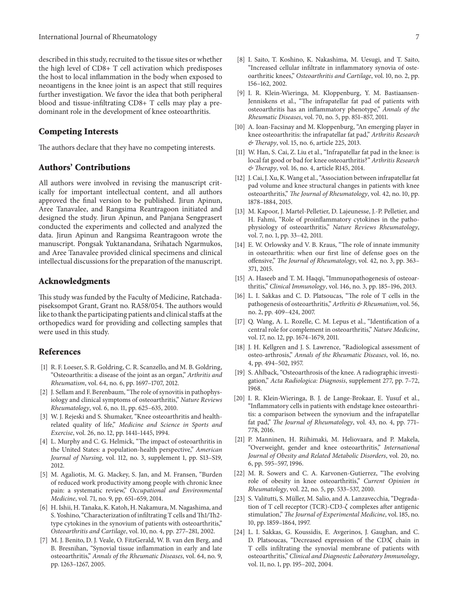described in this study, recruited to the tissue sites or whether the high level of CD8+ T cell activation which predisposes the host to local inflammation in the body when exposed to neoantigens in the knee joint is an aspect that still requires further investigation. We favor the idea that both peripheral blood and tissue-infiltrating CD8+ T cells may play a predominant role in the development of knee osteoarthritis.

#### **Competing Interests**

The authors declare that they have no competing interests.

#### **Authors' Contributions**

All authors were involved in revising the manuscript critically for important intellectual content, and all authors approved the final version to be published. Jirun Apinun, Aree Tanavalee, and Rangsima Reantragoon initiated and designed the study. Jirun Apinun, and Panjana Sengprasert conducted the experiments and collected and analyzed the data. Jirun Apinun and Rangsima Reantragoon wrote the manuscript. Pongsak Yuktanandana, Srihatach Ngarmukos, and Aree Tanavalee provided clinical specimens and clinical intellectual discussions for the preparation of the manuscript.

#### **Acknowledgments**

This study was funded by the Faculty of Medicine, Ratchadapiseksompot Grant, Grant no. RA58/054. The authors would like to thank the participating patients and clinical staffs at the orthopedics ward for providing and collecting samples that were used in this study.

#### **References**

- <span id="page-6-0"></span>[1] R. F. Loeser, S. R. Goldring, C. R. Scanzello, and M. B. Goldring, "Osteoarthritis: a disease of the joint as an organ," *Arthritis and Rheumatism*, vol. 64, no. 6, pp. 1697–1707, 2012.
- <span id="page-6-1"></span>[2] J. Sellam and F. Berenbaum, "The role of synovitis in pathophysiology and clinical symptoms of osteoarthritis," *Nature Reviews Rheumatology*, vol. 6, no. 11, pp. 625–635, 2010.
- <span id="page-6-2"></span>[3] W. J. Rejeski and S. Shumaker, "Knee osteoarthritis and healthrelated quality of life," *Medicine and Science in Sports and Exercise*, vol. 26, no. 12, pp. 1441–1445, 1994.
- <span id="page-6-3"></span>[4] L. Murphy and C. G. Helmick, "The impact of osteoarthritis in the United States: a population-health perspective," *American Journal of Nursing*, vol. 112, no. 3, supplement 1, pp. S13–S19, 2012.
- <span id="page-6-4"></span>[5] M. Agaliotis, M. G. Mackey, S. Jan, and M. Fransen, "Burden of reduced work productivity among people with chronic knee pain: a systematic review," *Occupational and Environmental Medicine*, vol. 71, no. 9, pp. 651–659, 2014.
- <span id="page-6-5"></span>[6] H. Ishii, H. Tanaka, K. Katoh, H. Nakamura, M. Nagashima, and S. Yoshino, "Characterization of infiltrating T cells and Th1/Th2type cytokines in the synovium of patients with osteoarthritis," *Osteoarthritis and Cartilage*, vol. 10, no. 4, pp. 277–281, 2002.
- <span id="page-6-20"></span>[7] M. J. Benito, D. J. Veale, O. FitzGerald, W. B. van den Berg, and B. Bresnihan, "Synovial tissue inflammation in early and late osteoarthritis," *Annals of the Rheumatic Diseases*, vol. 64, no. 9, pp. 1263–1267, 2005.
- <span id="page-6-6"></span>[8] I. Saito, T. Koshino, K. Nakashima, M. Uesugi, and T. Saito, "Increased cellular infiltrate in inflammatory synovia of osteoarthritic knees," *Osteoarthritis and Cartilage*, vol. 10, no. 2, pp. 156–162, 2002.
- <span id="page-6-7"></span>[9] I. R. Klein-Wieringa, M. Kloppenburg, Y. M. Bastiaansen-Jenniskens et al., "The infrapatellar fat pad of patients with osteoarthritis has an inflammatory phenotype," *Annals of the Rheumatic Diseases*, vol. 70, no. 5, pp. 851–857, 2011.
- [10] A. Ioan-Facsinay and M. Kloppenburg, "An emerging player in knee osteoarthritis: the infrapatellar fat pad," *Arthritis Research & Therapy*, vol. 15, no. 6, article 225, 2013.
- [11] W. Han, S. Cai, Z. Liu et al., "Infrapatellar fat pad in the knee: is local fat good or bad for knee osteoarthritis?" *Arthritis Research & Therapy*, vol. 16, no. 4, article R145, 2014.
- <span id="page-6-8"></span>[12] J. Cai, J. Xu, K. Wang et al., "Association between infrapatellar fat pad volume and knee structural changes in patients with knee osteoarthritis," *The Journal of Rheumatology*, vol. 42, no. 10, pp. 1878–1884, 2015.
- <span id="page-6-9"></span>[13] M. Kapoor, J. Martel-Pelletier, D. Lajeunesse, J.-P. Pelletier, and H. Fahmi, "Role of proinflammatory cytokines in the pathophysiology of osteoarthritis," *Nature Reviews Rheumatology*, vol. 7, no. 1, pp. 33–42, 2011.
- <span id="page-6-10"></span>[14] E. W. Orlowsky and V. B. Kraus, "The role of innate immunity in osteoarthritis: when our first line of defense goes on the offensive," *The Journal of Rheumatology*, vol. 42, no. 3, pp. 363– 371, 2015.
- [15] A. Haseeb and T. M. Haqqi, "Immunopathogenesis of osteoarthritis," *Clinical Immunology*, vol. 146, no. 3, pp. 185–196, 2013.
- <span id="page-6-12"></span>[16] L. I. Sakkas and C. D. Platsoucas, "The role of T cells in the pathogenesis of osteoarthritis," *Arthritis & Rheumatism*, vol. 56, no. 2, pp. 409–424, 2007.
- <span id="page-6-11"></span>[17] Q. Wang, A. L. Rozelle, C. M. Lepus et al., "Identification of a central role for complement in osteoarthritis," *Nature Medicine*, vol. 17, no. 12, pp. 1674–1679, 2011.
- <span id="page-6-13"></span>[18] J. H. Kellgren and J. S. Lawrence, "Radiological assessment of osteo-arthrosis," *Annals of the Rheumatic Diseases*, vol. 16, no. 4, pp. 494–502, 1957.
- <span id="page-6-14"></span>[19] S. Ahlback, "Osteoarthrosis of the knee. A radiographic investigation," *Acta Radiologica: Diagnosis*, supplement 277, pp. 7–72, 1968.
- <span id="page-6-15"></span>[20] I. R. Klein-Wieringa, B. J. de Lange-Brokaar, E. Yusuf et al., "Inflammatory cells in patients with endstage knee osteoarthritis: a comparison between the synovium and the infrapatellar fat pad," *The Journal of Rheumatology*, vol. 43, no. 4, pp. 771– 778, 2016.
- <span id="page-6-16"></span>[21] P. Manninen, H. Riihimaki, M. Heliovaara, and P. Makela, "Overweight, gender and knee osteoarthritis," *International Journal of Obesity and Related Metabolic Disorders*, vol. 20, no. 6, pp. 595–597, 1996.
- <span id="page-6-17"></span>[22] M. R. Sowers and C. A. Karvonen-Gutierrez, "The evolving role of obesity in knee osteoarthritis," *Current Opinion in Rheumatology*, vol. 22, no. 5, pp. 533–537, 2010.
- <span id="page-6-18"></span>[23] S. Valitutti, S. Müller, M. Salio, and A. Lanzavecchia, "Degradation of T cell receptor (TCR)-CD3-ζ complexes after antigenic stimulation," *The Journal of Experimental Medicine*, vol. 185, no. 10, pp. 1859–1864, 1997.
- <span id="page-6-19"></span>[24] L. I. Sakkas, G. Koussidis, E. Avgerinos, J. Gaughan, and C. D. Platsoucas, "Decreased expression of the CD3 $\zeta$  chain in T cells infiltrating the synovial membrane of patients with osteoarthritis," *Clinical and Diagnostic Laboratory Immunology*, vol. 11, no. 1, pp. 195–202, 2004.